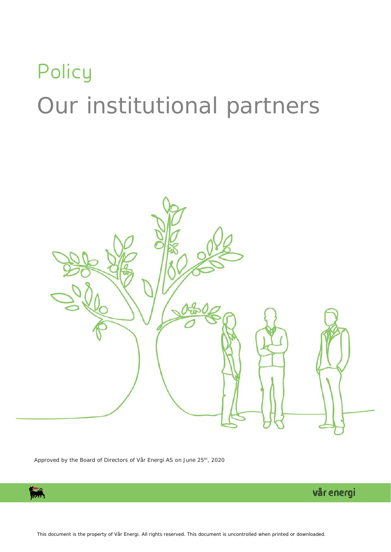# **Policy** Our institutional partners



Approved by the Board of Directors of Vår Energi AS on June 25<sup>th</sup>, 2020



vår energi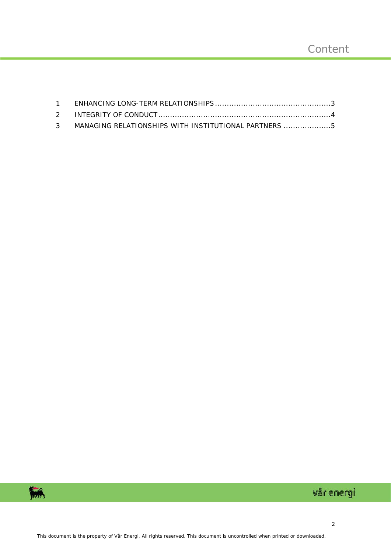| 3 MANAGING RELATIONSHIPS WITH INSTITUTIONAL PARTNERS 5 |  |
|--------------------------------------------------------|--|



## vår energi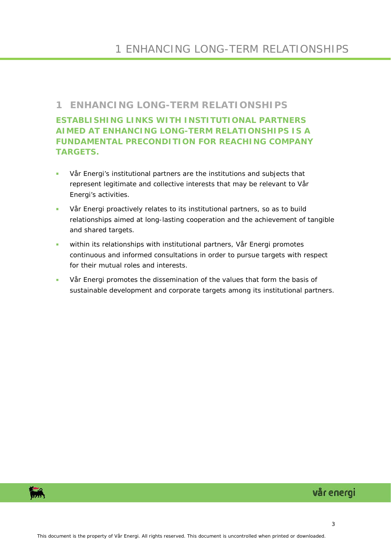### <span id="page-2-0"></span>**1 ENHANCING LONG-TERM RELATIONSHIPS**

**ESTABLISHING LINKS WITH INSTITUTIONAL PARTNERS AIMED AT ENHANCING LONG-TERM RELATIONSHIPS IS A FUNDAMENTAL PRECONDITION FOR REACHING COMPANY TARGETS.**

- Vår Energi's institutional partners are the institutions and subjects that represent legitimate and collective interests that may be relevant to Vår Energi's activities.
- Vår Energi proactively relates to its institutional partners, so as to build relationships aimed at long-lasting cooperation and the achievement of tangible and shared targets.
- **Within its relationships with institutional partners, Vår Energi promotes** continuous and informed consultations in order to pursue targets with respect for their mutual roles and interests.
- Vår Energi promotes the dissemination of the values that form the basis of sustainable development and corporate targets among its institutional partners.

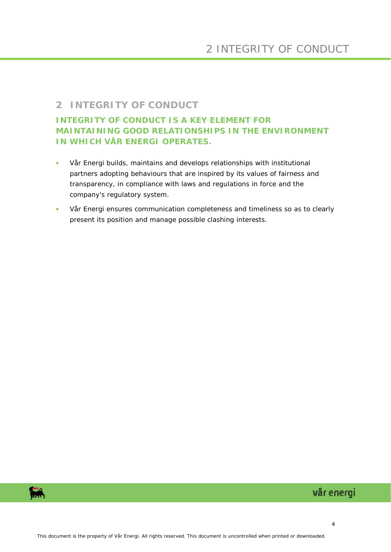#### <span id="page-3-0"></span>**2 INTEGRITY OF CONDUCT**

#### **INTEGRITY OF CONDUCT IS A KEY ELEMENT FOR MAINTAINING GOOD RELATIONSHIPS IN THE ENVIRONMENT IN WHICH VÅR ENERGI OPERATES.**

- Vår Energi builds, maintains and develops relationships with institutional partners adopting behaviours that are inspired by its values of fairness and transparency, in compliance with laws and regulations in force and the company's regulatory system.
- Vår Energi ensures communication completeness and timeliness so as to clearly present its position and manage possible clashing interests.